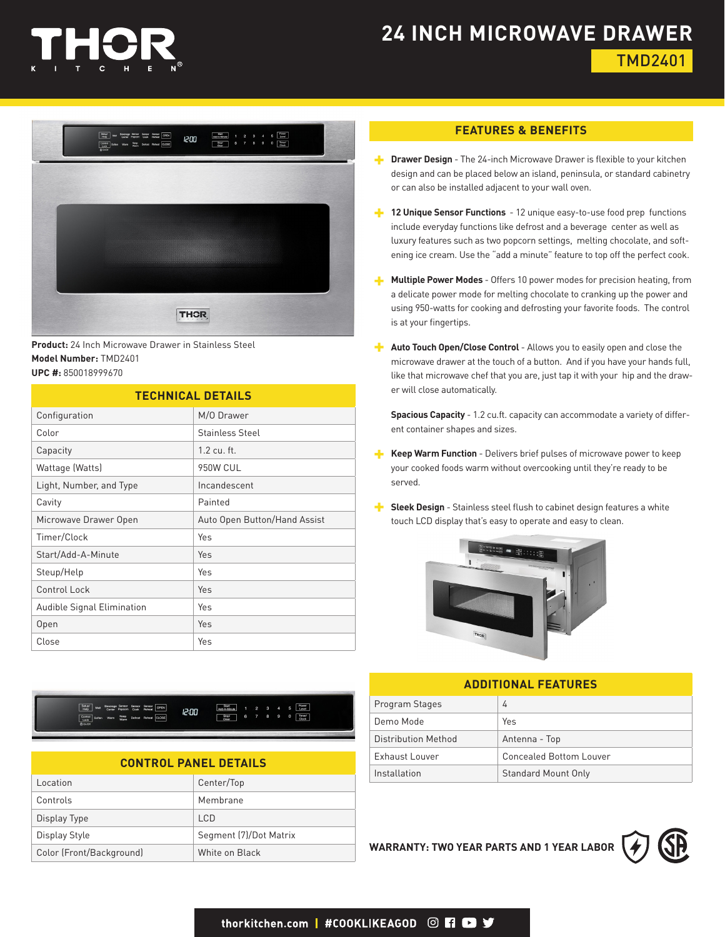

# **24 INCH MICROWAVE DRAWER** TMD2401



**Product:** 24 Inch Microwave Drawer in Stainless Steel **Model Number:** TMD2401 **UPC #:** 850018999670

### **TECHNICAL DETAILS** Configuration M/O Drawer

| -------------              |                              |
|----------------------------|------------------------------|
| Color                      | <b>Stainless Steel</b>       |
| Capacity                   | $1.2$ cu. ft.                |
| Wattage (Watts)            | 950W CUL                     |
| Light, Number, and Type    | Incandescent                 |
| Cavity                     | Painted                      |
| Microwave Drawer Open      | Auto Open Button/Hand Assist |
| Timer/Clock                | Yes                          |
| Start/Add-A-Minute         | Yes                          |
| Steup/Help                 | Yes                          |
| Control Lock               | Yes                          |
| Audible Signal Elimination | Yes                          |
| Open                       | Yes                          |
| Close                      | Yes                          |

Senapi Met Boverage Senace Senace Senace OPEN 12:00 Control Softer Keep De

| <b>CONTROL PANEL DETAILS</b> |  |
|------------------------------|--|
|------------------------------|--|

| Location                 | Center/Top             |
|--------------------------|------------------------|
| Controls                 | Membrane               |
| Display Type             | <b>LCD</b>             |
| Display Style            | Segment (7)/Dot Matrix |
| Color (Front/Background) | White on Black         |

#### **FEATURES & BENEFITS**

- **Drawer Design** The 24-inch Microwave Drawer is flexible to your kitchen design and can be placed below an island, peninsula, or standard cabinetry or can also be installed adjacent to your wall oven.
- **12 Unique Sensor Functions** 12 unique easy-to-use food prep functions include everyday functions like defrost and a beverage center as well as luxury features such as two popcorn settings, melting chocolate, and softening ice cream. Use the "add a minute" feature to top off the perfect cook.
- **Multiple Power Modes** Offers 10 power modes for precision heating, from a delicate power mode for melting chocolate to cranking up the power and using 950-watts for cooking and defrosting your favorite foods. The control is at your fingertips.
- **Auto Touch Open/Close Control** Allows you to easily open and close the microwave drawer at the touch of a button. And if you have your hands full, like that microwave chef that you are, just tap it with your hip and the drawer will close automatically.

**Spacious Capacity** - 1.2 cu.ft. capacity can accommodate a variety of different container shapes and sizes.

- **Keep Warm Function** Delivers brief pulses of microwave power to keep your cooked foods warm without overcooking until they're ready to be served.
- **Sleek Design** Stainless steel flush to cabinet design features a white touch LCD display that's easy to operate and easy to clean.



#### **ADDITIONAL FEATURES**

|  | Program Stages      | 4                          |
|--|---------------------|----------------------------|
|  | Demo Mode           | Yes                        |
|  | Distribution Method | Antenna - Top              |
|  | Exhaust Louver      | Concealed Bottom Louver    |
|  | Installation        | <b>Standard Mount Only</b> |

**WARRANTY: TWO YEAR PARTS AND 1 YEAR LABOR**